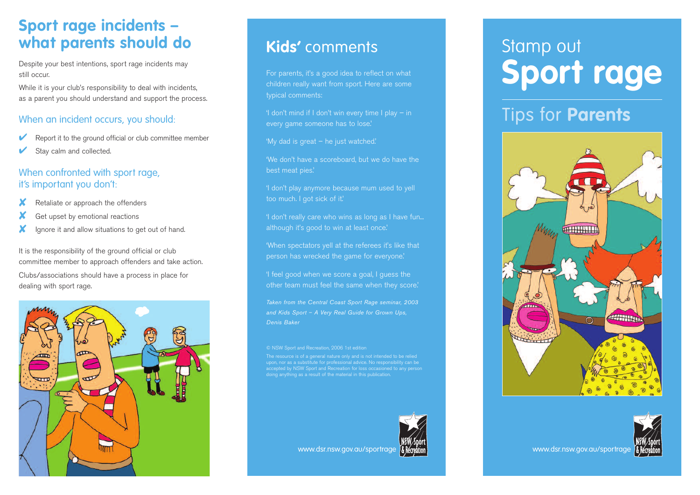## **Sport rage incidents – what parents should do**

Despite your best intentions, sport rage incidents may still occur.

While it is your club's responsibility to deal with incidents, as a parent you should understand and support the process.

## When an incident occurs, you should:

- Report it to the ground official or club committee member
- Stay calm and collected.

## When confronted with sport rage, it's important you don't:

- Retaliate or approach the offenders
- Get upset by emotional reactions
- Ignore it and allow situations to get out of hand.

It is the responsibility of the ground official or club committee member to approach offenders and take action. Clubs/associations should have a process in place for dealing with sport rage.



# **Kids'** comments

For parents, it's a good idea to reflect on what children really want from sport. Here are some typical comments:

'I don't mind if I don't win every time I play – in every game someone has to lose.'

'My dad is great – he just watched.'

'We don't have a scoreboard, but we do have the best meat pies.'

'I don't play anymore because mum used to yell too much. I got sick of it.'

'I don't really care who wins as long as I have fun... although it's good to win at least once.'

'When spectators yell at the referees it's like that person has wrecked the game for everyone.'

'I feel good when we score a goal, I guess the

*Taken from the Central Coast Sport Rage seminar, 2003 and Kids Sport – A Very Real Guide for Grown Ups, Denis Baker*

© NSW Sport and Recreation, 2006 1st edition

The resource is of a general nature only and is not intended to be relied upon, nor as a substitute for professional advice. No responsibility can be ed by NSW Sport and Recreation for loss occasioned to any person doing anything as a result of the material in this publication.



#### www.dsr.nsw.gov.au/sportrage & reference and the setting www.dsr.nsw.gov.au/sportrage

# Stamp out **Sport rage**